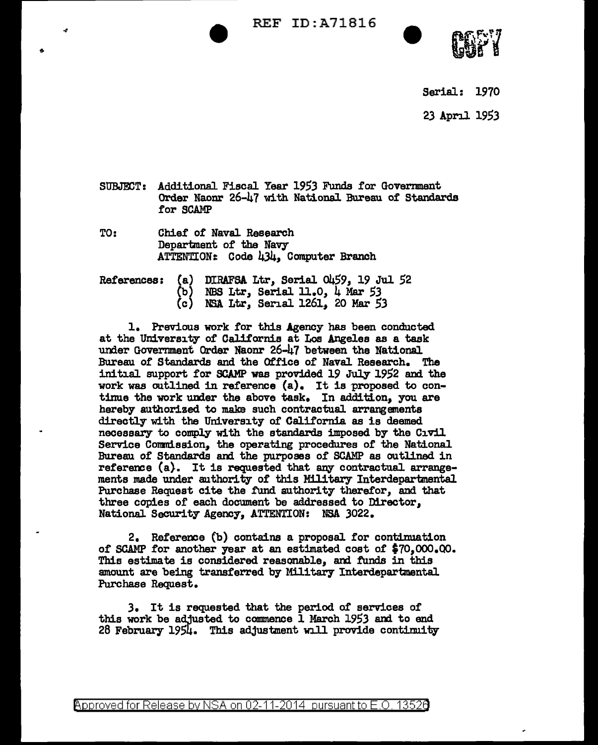REF ID:A71816



Serial: 1970

23 April 1953

- SUBJF£T: Additional Fiscal Year *1953* Funds for Govermnent Order Naonr 26-47 with NationaJ. Bureau of Standards for SCAMP
- TO: Chief of Naval Research Department of the Navy ATTENTION:: Code 434, Computer Branch

|  |       | References: (a) DIRAFSA Ltr, Serial 0459, 19 Jul 52 |
|--|-------|-----------------------------------------------------|
|  |       | NBS Ltr, Serial 11.0, 4 Mar 53                      |
|  | (c) = | NSA Ltr, Serial 1261, 20 Mar 53                     |

1. Previous work tor this Agency has been conducted at the University of California at Los Angeles as a task under Government Order Naonr 26-47 between the National. Bureau of Standards and the Office of Naval Research. The initial support tor SCAMP was provided 19 July 1952 and the work was outlined in reference (a). It is proposed to continue the work under the above task. In addition, you are hereby authorized to make such contractual arrangements directly with the University of California as is deemed necessary to comply with the standards imposed by the Civil Service Conmission, the operating procedures of the National Bureau of Standards and the purposes of SCAMP as outlined in refereme (a}. It is requested that any contractual arrangements made under authority of this Military Interdepartmental Purchase Request cite the fund authority therefor, and that three copies of each document be addressed to Director, National Security Agency, ATTENTION: NSA 3022.

2. Reference (b) contains a proposal for continuation of SCAMP for another year at an estimated cost of \$70.000.00. This estimate is considered reasonable, and funds in this amount are being transferred by Military Interdepartmental Purchase Request.

3. It is requested that the period of services of this work be adjusted to commence 1 March 1953 and to end 28 February 1954. This adjustment will provide continuity

@'pproved for Release by NSA on 02-11-2014 pursuantto E.O. 1352a